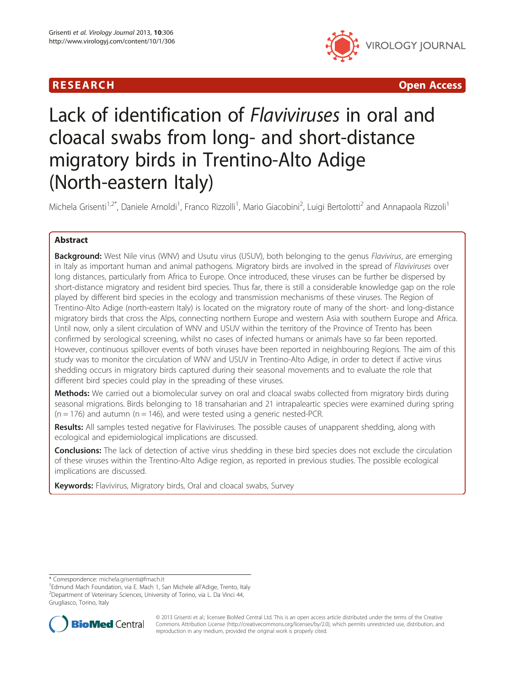# **RESEARCH CHINESE ARCH CHINESE ARCH CHINESE ARCH <b>CHINESE ARCH CHINESE ARCH CHINESE ARCH <b>CHINESE ARCH** CHINESE ARCH **CHINESE ARCH 2014**



# Lack of identification of Flaviviruses in oral and cloacal swabs from long- and short-distance migratory birds in Trentino-Alto Adige (North-eastern Italy)

Michela Grisenti<sup>1,2\*</sup>, Daniele Arnoldi<sup>1</sup>, Franco Rizzolli<sup>1</sup>, Mario Giacobini<sup>2</sup>, Luigi Bertolotti<sup>2</sup> and Annapaola Rizzoli<sup>1</sup>

# Abstract

Background: West Nile virus (WNV) and Usutu virus (USUV), both belonging to the genus Flavivirus, are emerging in Italy as important human and animal pathogens. Migratory birds are involved in the spread of Flaviviruses over long distances, particularly from Africa to Europe. Once introduced, these viruses can be further be dispersed by short-distance migratory and resident bird species. Thus far, there is still a considerable knowledge gap on the role played by different bird species in the ecology and transmission mechanisms of these viruses. The Region of Trentino-Alto Adige (north-eastern Italy) is located on the migratory route of many of the short- and long-distance migratory birds that cross the Alps, connecting northern Europe and western Asia with southern Europe and Africa. Until now, only a silent circulation of WNV and USUV within the territory of the Province of Trento has been confirmed by serological screening, whilst no cases of infected humans or animals have so far been reported. However, continuous spillover events of both viruses have been reported in neighbouring Regions. The aim of this study was to monitor the circulation of WNV and USUV in Trentino-Alto Adige, in order to detect if active virus shedding occurs in migratory birds captured during their seasonal movements and to evaluate the role that different bird species could play in the spreading of these viruses.

Methods: We carried out a biomolecular survey on oral and cloacal swabs collected from migratory birds during seasonal migrations. Birds belonging to 18 transaharian and 21 intrapaleartic species were examined during spring  $(n = 176)$  and autumn  $(n = 146)$ , and were tested using a generic nested-PCR.

Results: All samples tested negative for Flaviviruses. The possible causes of unapparent shedding, along with ecological and epidemiological implications are discussed.

**Conclusions:** The lack of detection of active virus shedding in these bird species does not exclude the circulation of these viruses within the Trentino-Alto Adige region, as reported in previous studies. The possible ecological implications are discussed.

Keywords: Flavivirus, Migratory birds, Oral and cloacal swabs, Survey

Grugliasco, Torino, Italy



© 2013 Grisenti et al.; licensee BioMed Central Ltd. This is an open access article distributed under the terms of the Creative Commons Attribution License [\(http://creativecommons.org/licenses/by/2.0\)](http://creativecommons.org/licenses/by/2.0), which permits unrestricted use, distribution, and reproduction in any medium, provided the original work is properly cited.

<sup>\*</sup> Correspondence: [michela.grisenti@fmach.it](mailto:michela.grisenti@fmach.it) <sup>1</sup>

<sup>&</sup>lt;sup>1</sup>Edmund Mach Foundation, via E. Mach 1, San Michele all'Adige, Trento, Italy <sup>2</sup>Department of Veterinary Sciences, University of Torino, via L. Da Vinci 44,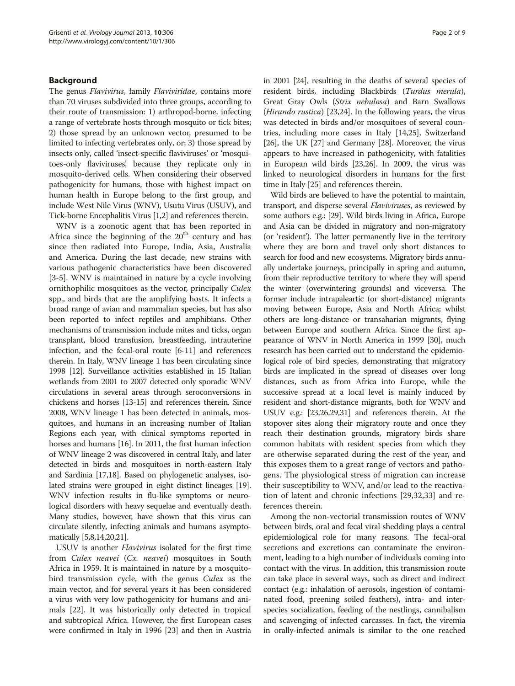## Background

The genus Flavivirus, family Flaviviridae, contains more than 70 viruses subdivided into three groups, according to their route of transmission: 1) arthropod-borne, infecting a range of vertebrate hosts through mosquito or tick bites; 2) those spread by an unknown vector, presumed to be limited to infecting vertebrates only, or; 3) those spread by insects only, called 'insect-specific flaviviruses' or 'mosquitoes-only flaviviruses', because they replicate only in mosquito-derived cells. When considering their observed pathogenicity for humans, those with highest impact on human health in Europe belong to the first group, and include West Nile Virus (WNV), Usutu Virus (USUV), and Tick-borne Encephalitis Virus [\[1,2\]](#page-6-0) and references therein.

WNV is a zoonotic agent that has been reported in Africa since the beginning of the  $20<sup>th</sup>$  century and has since then radiated into Europe, India, Asia, Australia and America. During the last decade, new strains with various pathogenic characteristics have been discovered [[3-5](#page-6-0)]. WNV is maintained in nature by a cycle involving ornithophilic mosquitoes as the vector, principally Culex spp., and birds that are the amplifying hosts. It infects a broad range of avian and mammalian species, but has also been reported to infect reptiles and amphibians. Other mechanisms of transmission include mites and ticks, organ transplant, blood transfusion, breastfeeding, intrauterine infection, and the fecal-oral route [\[6](#page-6-0)-[11](#page-6-0)] and references therein. In Italy, WNV lineage 1 has been circulating since 1998 [\[12\]](#page-6-0). Surveillance activities established in 15 Italian wetlands from 2001 to 2007 detected only sporadic WNV circulations in several areas through seroconversions in chickens and horses [[13](#page-7-0)-[15](#page-7-0)] and references therein. Since 2008, WNV lineage 1 has been detected in animals, mosquitoes, and humans in an increasing number of Italian Regions each year, with clinical symptoms reported in horses and humans [\[16\]](#page-7-0). In 2011, the first human infection of WNV lineage 2 was discovered in central Italy, and later detected in birds and mosquitoes in north-eastern Italy and Sardinia [[17,18\]](#page-7-0). Based on phylogenetic analyses, isolated strains were grouped in eight distinct lineages [\[19](#page-7-0)]. WNV infection results in flu-like symptoms or neurological disorders with heavy sequelae and eventually death. Many studies, however, have shown that this virus can circulate silently, infecting animals and humans asymptomatically [[5,8](#page-6-0)[,14,20,21\]](#page-7-0).

USUV is another Flavivirus isolated for the first time from Culex neavei (Cx. neavei) mosquitoes in South Africa in 1959. It is maintained in nature by a mosquitobird transmission cycle, with the genus Culex as the main vector, and for several years it has been considered a virus with very low pathogenicity for humans and animals [[22\]](#page-7-0). It was historically only detected in tropical and subtropical Africa. However, the first European cases were confirmed in Italy in 1996 [[23](#page-7-0)] and then in Austria in 2001 [\[24\]](#page-7-0), resulting in the deaths of several species of resident birds, including Blackbirds (Turdus merula), Great Gray Owls (Strix nebulosa) and Barn Swallows (Hirundo rustica) [[23,24](#page-7-0)]. In the following years, the virus was detected in birds and/or mosquitoes of several countries, including more cases in Italy [[14,25\]](#page-7-0), Switzerland [[26](#page-7-0)], the UK [\[27](#page-7-0)] and Germany [[28](#page-7-0)]. Moreover, the virus appears to have increased in pathogenicity, with fatalities in European wild birds [\[23,26\]](#page-7-0). In 2009, the virus was linked to neurological disorders in humans for the first time in Italy [[25](#page-7-0)] and references therein.

Wild birds are believed to have the potential to maintain, transport, and disperse several Flaviviruses, as reviewed by some authors e.g.: [\[29\]](#page-7-0). Wild birds living in Africa, Europe and Asia can be divided in migratory and non-migratory (or 'resident'). The latter permanently live in the territory where they are born and travel only short distances to search for food and new ecosystems. Migratory birds annually undertake journeys, principally in spring and autumn, from their reproductive territory to where they will spend the winter (overwintering grounds) and viceversa. The former include intrapaleartic (or short-distance) migrants moving between Europe, Asia and North Africa; whilst others are long-distance or transaharian migrants, flying between Europe and southern Africa. Since the first appearance of WNV in North America in 1999 [\[30\]](#page-7-0), much research has been carried out to understand the epidemiological role of bird species, demonstrating that migratory birds are implicated in the spread of diseases over long distances, such as from Africa into Europe, while the successive spread at a local level is mainly induced by resident and short-distance migrants, both for WNV and USUV e.g.: [[23,26,29,31\]](#page-7-0) and references therein. At the stopover sites along their migratory route and once they reach their destination grounds, migratory birds share common habitats with resident species from which they are otherwise separated during the rest of the year, and this exposes them to a great range of vectors and pathogens. The physiological stress of migration can increase their susceptibility to WNV, and/or lead to the reactivation of latent and chronic infections [\[29,32](#page-7-0),[33\]](#page-7-0) and references therein.

Among the non-vectorial transmission routes of WNV between birds, oral and fecal viral shedding plays a central epidemiological role for many reasons. The fecal-oral secretions and excretions can contaminate the environment, leading to a high number of individuals coming into contact with the virus. In addition, this transmission route can take place in several ways, such as direct and indirect contact (e.g.: inhalation of aerosols, ingestion of contaminated food, preening soiled feathers), intra- and interspecies socialization, feeding of the nestlings, cannibalism and scavenging of infected carcasses. In fact, the viremia in orally-infected animals is similar to the one reached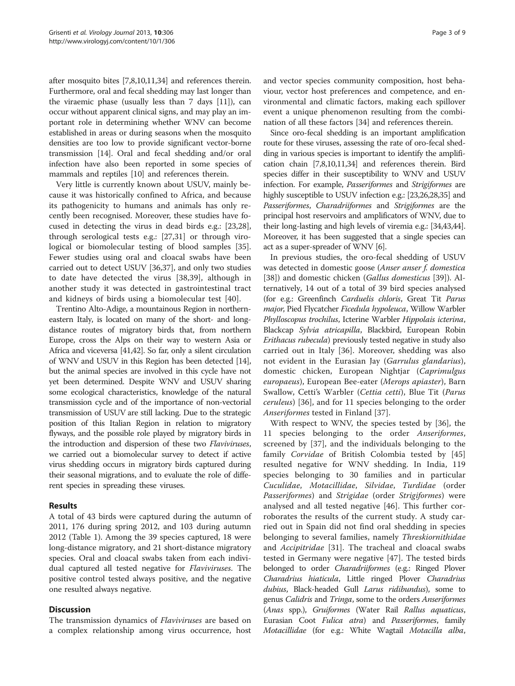after mosquito bites [[7,8,10,11,](#page-6-0)[34](#page-7-0)] and references therein. Furthermore, oral and fecal shedding may last longer than the viraemic phase (usually less than 7 days [[11](#page-6-0)]), can occur without apparent clinical signs, and may play an important role in determining whether WNV can become established in areas or during seasons when the mosquito densities are too low to provide significant vector-borne transmission [[14](#page-7-0)]. Oral and fecal shedding and/or oral infection have also been reported in some species of mammals and reptiles [\[10](#page-6-0)] and references therein.

Very little is currently known about USUV, mainly because it was historically confined to Africa, and because its pathogenicity to humans and animals has only recently been recognised. Moreover, these studies have focused in detecting the virus in dead birds e.g.: [\[23,28](#page-7-0)], through serological tests e.g.: [[27,31\]](#page-7-0) or through virological or biomolecular testing of blood samples [\[35](#page-7-0)]. Fewer studies using oral and cloacal swabs have been carried out to detect USUV [[36,37\]](#page-7-0), and only two studies to date have detected the virus [[38,39](#page-7-0)], although in another study it was detected in gastrointestinal tract and kidneys of birds using a biomolecular test [\[40](#page-7-0)].

Trentino Alto-Adige, a mountainous Region in northerneastern Italy, is located on many of the short- and longdistance routes of migratory birds that, from northern Europe, cross the Alps on their way to western Asia or Africa and viceversa [\[41,42\]](#page-7-0). So far, only a silent circulation of WNV and USUV in this Region has been detected [\[14](#page-7-0)], but the animal species are involved in this cycle have not yet been determined. Despite WNV and USUV sharing some ecological characteristics, knowledge of the natural transmission cycle and of the importance of non-vectorial transmission of USUV are still lacking. Due to the strategic position of this Italian Region in relation to migratory flyways, and the possible role played by migratory birds in the introduction and dispersion of these two Flaviviruses, we carried out a biomolecular survey to detect if active virus shedding occurs in migratory birds captured during their seasonal migrations, and to evaluate the role of different species in spreading these viruses.

## Results

A total of 43 birds were captured during the autumn of 2011, 176 during spring 2012, and 103 during autumn 2012 (Table [1](#page-3-0)). Among the 39 species captured, 18 were long-distance migratory, and 21 short-distance migratory species. Oral and cloacal swabs taken from each individual captured all tested negative for Flaviviruses. The positive control tested always positive, and the negative one resulted always negative.

## **Discussion**

The transmission dynamics of *Flaviviruses* are based on a complex relationship among virus occurrence, host

and vector species community composition, host behaviour, vector host preferences and competence, and environmental and climatic factors, making each spillover event a unique phenomenon resulting from the combination of all these factors [[34](#page-7-0)] and references therein.

Since oro-fecal shedding is an important amplification route for these viruses, assessing the rate of oro-fecal shedding in various species is important to identify the amplification chain [\[7,8,10,11](#page-6-0)[,34\]](#page-7-0) and references therein. Bird species differ in their susceptibility to WNV and USUV infection. For example, Passeriformes and Strigiformes are highly susceptible to USUV infection e.g.: [\[23,26,28,35](#page-7-0)] and Passeriformes, Charadriiformes and Strigiformes are the principal host reservoirs and amplificators of WNV, due to their long-lasting and high levels of viremia e.g.: [\[34,43,44](#page-7-0)]. Moreover, it has been suggested that a single species can act as a super-spreader of WNV [\[6](#page-6-0)].

In previous studies, the oro-fecal shedding of USUV was detected in domestic goose (Anser anser f. domestica [[38\]](#page-7-0)) and domestic chicken (Gallus domesticus [[39\]](#page-7-0)). Alternatively, 14 out of a total of 39 bird species analysed (for e.g.: Greenfinch Carduelis chloris, Great Tit Parus major, Pied Flycatcher Ficedula hypoleuca, Willow Warbler Phylloscopus trochilus, Icterine Warbler Hippolais icterina, Blackcap Sylvia atricapilla, Blackbird, European Robin Erithacus rubecula) previously tested negative in study also carried out in Italy [[36\]](#page-7-0). Moreover, shedding was also not evident in the Eurasian Jay (Garrulus glandarius), domestic chicken, European Nightjar (Caprimulgus europaeus), European Bee-eater (Merops apiaster), Barn Swallow, Cetti's Warbler (Cettia cetti), Blue Tit (Parus ceruleus) [[36\]](#page-7-0), and for 11 species belonging to the order Anseriformes tested in Finland [\[37](#page-7-0)].

With respect to WNV, the species tested by [[36](#page-7-0)], the 11 species belonging to the order Anseriformes, screened by [\[37](#page-7-0)], and the individuals belonging to the family Corvidae of British Colombia tested by [\[45](#page-7-0)] resulted negative for WNV shedding. In India, 119 species belonging to 30 families and in particular Cuculidae, Motacillidae, Silvidae, Turdidae (order Passeriformes) and Strigidae (order Strigiformes) were analysed and all tested negative [[46\]](#page-7-0). This further corroborates the results of the current study. A study carried out in Spain did not find oral shedding in species belonging to several families, namely Threskiornithidae and Accipitridae [[31\]](#page-7-0). The tracheal and cloacal swabs tested in Germany were negative [[47\]](#page-7-0). The tested birds belonged to order *Charadriiformes* (e.g.: Ringed Plover Charadrius hiaticula, Little ringed Plover Charadrius dubius, Black-headed Gull Larus ridibundus), some to genus Calidris and Tringa, some to the orders Anseriformes (Anas spp.), Gruiformes (Water Rail Rallus aquaticus, Eurasian Coot Fulica atra) and Passeriformes, family Motacillidae (for e.g.: White Wagtail Motacilla alba,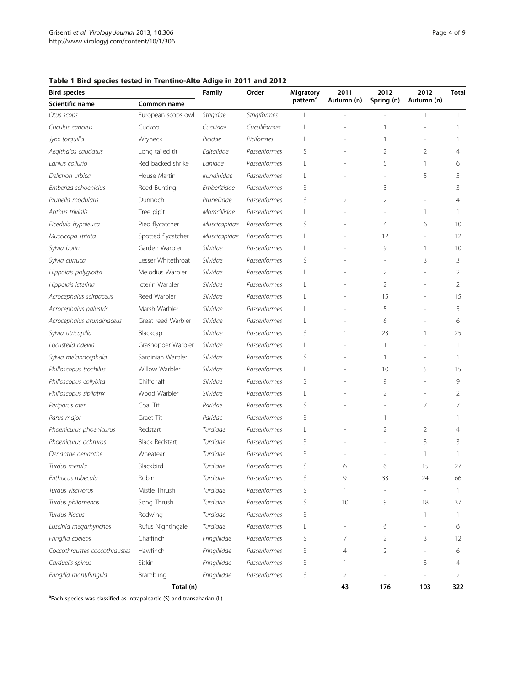## <span id="page-3-0"></span>Table 1 Bird species tested in Trentino-Alto Adige in 2011 and 2012

| <b>Bird species</b>           |                       | Family       | Order               | Migratory            | 2011         | 2012           | 2012           | Total           |
|-------------------------------|-----------------------|--------------|---------------------|----------------------|--------------|----------------|----------------|-----------------|
| Scientific name               | Common name           |              |                     | pattern <sup>a</sup> | Autumn (n)   | Spring (n)     | Autumn (n)     |                 |
| Otus scops                    | European scops owl    | Strigidae    | <b>Strigiformes</b> | L                    |              |                | 1              | $\mathbf{1}$    |
| Cuculus canorus               | Cuckoo                | Cucilidae    | Cuculiformes        | L                    |              |                |                |                 |
| Jynx torquilla                | Wryneck               | Picidae      | Piciformes          | L                    |              |                |                | 1               |
| Aegithalos caudatus           | Long tailed tit       | Egitalidae   | Passeriformes       | S                    |              | 2              | $\overline{2}$ | 4               |
| Lanius collurio               | Red backed shrike     | Lanidae      | Passeriformes       | L                    |              | 5              | 1              | 6               |
| Delichon urbica               | House Martin          | Irundinidae  | Passeriformes       | L                    |              |                | 5              | 5               |
| Emberiza schoeniclus          | Reed Bunting          | Emberizidae  | Passeriformes       | S                    |              | 3              |                | 3               |
| Prunella modularis            | Dunnoch               | Prunellidae  | Passeriformes       | S                    | 2            | 2              |                | 4               |
| Anthus trivialis              | Tree pipit            | Moracillidae | Passeriformes       | L                    |              |                | $\mathbf{1}$   | 1               |
| Ficedula hypoleuca            | Pied flycatcher       | Muscicapidae | Passeriformes       | S                    |              | 4              | 6              | 10              |
| Muscicapa striata             | Spotted flycatcher    | Muscicapidae | Passeriformes       | L                    |              | 12             |                | 12              |
| Sylvia borin                  | Garden Warbler        | Silvidae     | Passeriformes       | L                    |              | 9              | 1              | 10 <sup>°</sup> |
| Sylvia curruca                | Lesser Whitethroat    | Silvidae     | Passeriformes       | S                    |              |                | 3              | 3               |
| Hippolais polyglotta          | Melodius Warbler      | Silvidae     | Passeriformes       | L                    |              | $\overline{2}$ |                | $\overline{2}$  |
| Hippolais icterina            | Icterin Warbler       | Silvidae     | Passeriformes       | L                    |              | 2              |                | $\overline{2}$  |
| Acrocephalus scirpaceus       | Reed Warbler          | Silvidae     | Passeriformes       | L                    |              | 15             |                | 15              |
| Acrocephalus palustris        | Marsh Warbler         | Silvidae     | Passeriformes       | L                    |              | 5              |                | 5               |
| Acrocephalus arundinaceus     | Great reed Warbler    | Silvidae     | Passeriformes       | L                    |              | 6              |                | 6               |
| Sylvia atricapilla            | Blackcap              | Silvidae     | Passeriformes       | S                    | 1            | 23             | 1              | 25              |
| Locustella naevia             | Grashopper Warbler    | Silvidae     | Passeriformes       | L                    |              | 1              |                | 1               |
| Sylvia melanocephala          | Sardinian Warbler     | Silvidae     | Passeriformes       | S                    |              | 1              |                | 1               |
| Philloscopus trochilus        | Willow Warbler        | Silvidae     | Passeriformes       | L                    |              | 10             | 5              | 15              |
| Philloscopus collybita        | Chiffchaff            | Silvidae     | Passeriformes       | S                    |              | 9              |                | 9               |
| Philloscopus sibilatrix       | Wood Warbler          | Silvidae     | Passeriformes       | L                    |              | 2              |                | $\overline{2}$  |
| Periparus ater                | Coal Tit              | Paridae      | Passeriformes       | S                    |              |                | 7              | 7               |
| Parus major                   | Graet Tit             | Paridae      | Passeriformes       | S                    |              | 1              |                | 1               |
| Phoenicurus phoenicurus       | Redstart              | Turdidae     | Passeriformes       | L                    |              | 2              | $\overline{2}$ | 4               |
| Phoenicurus ochruros          | <b>Black Redstart</b> | Turdidae     | Passeriformes       | S                    |              |                | 3              | 3               |
| Oenanthe oenanthe             | Wheatear              | Turdidae     | Passeriformes       | S                    |              |                | 1              | 1               |
| Turdus merula                 | Blackbird             | Turdidae     | Passeriformes       | S                    | 6            | 6              | 15             | 27              |
| Erithacus rubecula            | Robin                 | Turdidae     | Passeriformes       | S                    | 9            | 33             | 24             | 66              |
| Turdus viscivorus             | Mistle Thrush         | Turdidae     | Passeriformes       | S                    | 1            |                |                | 1               |
| Turdus philomenos             | Song Thrush           | Turdidae     | Passeriformes       | S                    | 10           | 9              | 18             | 37              |
| Turdus iliacus                | Redwing               | Turdidae     | Passeriformes       | S                    |              |                | $\mathbf{1}$   | $\mathbf{1}$    |
| Luscinia megarhynchos         | Rufus Nightingale     | Turdidae     | Passeriformes       | L                    |              | 6              |                | 6               |
| Fringilla coelebs             | Chaffinch             | Fringillidae | Passeriformes       | S                    | 7            | 2              | 3              | 12              |
| Coccothraustes coccothraustes | Hawfinch              | Fringillidae | Passeriformes       | S                    | 4            | 2              |                | 6               |
| Carduelis spinus              | Siskin                | Fringillidae | Passeriformes       | S                    | $\mathbf{1}$ |                | 3              | 4               |
| Fringilla montifringilla      | Brambling             | Fringillidae | Passeriformes       | S                    | 2            |                |                | 2               |
| Total (n)                     |                       |              |                     |                      | 43           | 176            | 103            | 322             |

<sup>a</sup>Each species was classified as intrapaleartic (S) and transaharian (L).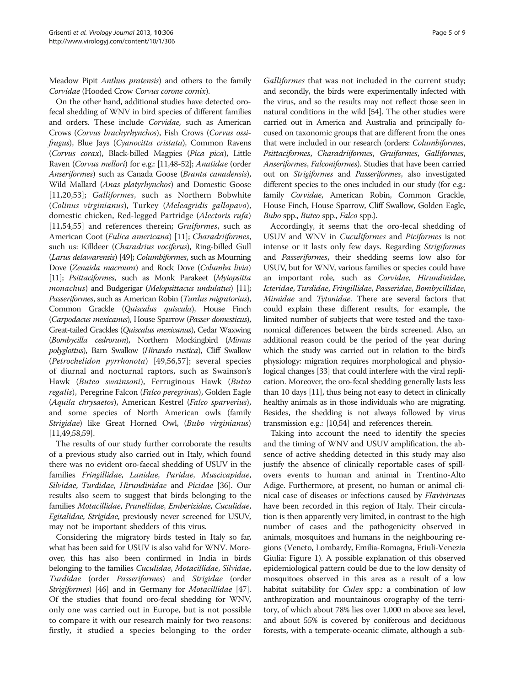Meadow Pipit Anthus pratensis) and others to the family Corvidae (Hooded Crow Corvus corone cornix).

On the other hand, additional studies have detected orofecal shedding of WNV in bird species of different families and orders. These include Corvidae, such as American Crows (Corvus brachyrhynchos), Fish Crows (Corvus ossifragus), Blue Jays (Cyanocitta cristata), Common Ravens (Corvus corax), Black-billed Magpies (Pica pica), Little Raven (Corvus mellori) for e.g.: [\[11](#page-6-0)[,48-52\]](#page-7-0); Anatidae (order Anseriformes) such as Canada Goose (Branta canadensis), Wild Mallard (Anas platyrhynchos) and Domestic Goose [[11](#page-6-0)[,20,53](#page-7-0)]; Galliformes, such as Northern Bobwhite (Colinus virginianus), Turkey (Meleagridis gallopavo), domestic chicken, Red-legged Partridge (Alectoris rufa) [[11](#page-6-0)[,54,55](#page-7-0)] and references therein; Gruiformes, such as American Coot (Fulica americana) [[11](#page-6-0)]; Charadriiformes, such us: Killdeer (Charadrius vociferus), Ring-billed Gull (Larus delawarensis) [\[49](#page-7-0)]; Columbiformes, such as Mourning Dove (Zenaida macroura) and Rock Dove (Columba livia) [[11\]](#page-6-0); Psittaciformes, such as Monk Parakeet (Myiopsitta monachus) and Budgerigar (Melopsittacus undulatus) [\[11\]](#page-6-0); Passeriformes, such as American Robin (Turdus migratorius), Common Grackle (Quiscalus quiscula), House Finch (Carpodacus mexicanus), House Sparrow (Passer domesticus), Great-tailed Grackles (Quiscalus mexicanus), Cedar Waxwing (Bombycilla cedrorum), Northern Mockingbird (Mimus polyglottus), Barn Swallow (Hirundo rustica), Cliff Swallow (Petrochelidon pyrrhonota) [[49,](#page-7-0)[56,57](#page-8-0)]; several species of diurnal and nocturnal raptors, such as Swainson's Hawk (Buteo swainsoni), Ferruginous Hawk (Buteo regalis), Peregrine Falcon (Falco peregrinus), Golden Eagle (Aquila chrysaetos), American Kestrel (Falco sparverius), and some species of North American owls (family Strigidae) like Great Horned Owl, (Bubo virginianus) [[11](#page-6-0)[,49](#page-7-0)[,58,59](#page-8-0)].

The results of our study further corroborate the results of a previous study also carried out in Italy, which found there was no evident oro-faecal shedding of USUV in the families Fringillidae, Lanidae, Paridae, Muscicapidae, Silvidae, Turdidae, Hirundinidae and Picidae [\[36](#page-7-0)]. Our results also seem to suggest that birds belonging to the families Motacillidae, Prunellidae, Emberizidae, Cuculidae, Egitalidae, Strigidae, previously never screened for USUV, may not be important shedders of this virus.

Considering the migratory birds tested in Italy so far, what has been said for USUV is also valid for WNV. Moreover, this has also been confirmed in India in birds belonging to the families Cuculidae, Motacillidae, Silvidae, Turdidae (order Passeriformes) and Strigidae (order Strigiformes) [\[46\]](#page-7-0) and in Germany for Motacillidae [[47](#page-7-0)]. Of the studies that found oro-fecal shedding for WNV, only one was carried out in Europe, but is not possible to compare it with our research mainly for two reasons: firstly, it studied a species belonging to the order

Galliformes that was not included in the current study; and secondly, the birds were experimentally infected with the virus, and so the results may not reflect those seen in natural conditions in the wild [\[54](#page-7-0)]. The other studies were carried out in America and Australia and principally focused on taxonomic groups that are different from the ones that were included in our research (orders: Columbiformes, Psittaciformes, Charadriiformes, Gruiformes, Galliformes, Anseriformes, Falconiformes). Studies that have been carried out on Strigiformes and Passeriformes, also investigated different species to the ones included in our study (for e.g.: family Corvidae, American Robin, Common Grackle, House Finch, House Sparrow, Cliff Swallow, Golden Eagle, Bubo spp., Buteo spp., Falco spp.).

Accordingly, it seems that the oro-fecal shedding of USUV and WNV in Cuculiformes and Piciformes is not intense or it lasts only few days. Regarding Strigiformes and Passeriformes, their shedding seems low also for USUV, but for WNV, various families or species could have an important role, such as Corvidae, Hirundinidae, Icteridae, Turdidae, Fringillidae, Passeridae, Bombycillidae, Mimidae and Tytonidae. There are several factors that could explain these different results, for example, the limited number of subjects that were tested and the taxonomical differences between the birds screened. Also, an additional reason could be the period of the year during which the study was carried out in relation to the bird's physiology: migration requires morphological and physiological changes [\[33\]](#page-7-0) that could interfere with the viral replication. Moreover, the oro-fecal shedding generally lasts less than 10 days [\[11\]](#page-6-0), thus being not easy to detect in clinically healthy animals as in those individuals who are migrating. Besides, the shedding is not always followed by virus transmission e.g.: [\[10](#page-6-0)[,54](#page-7-0)] and references therein.

Taking into account the need to identify the species and the timing of WNV and USUV amplification, the absence of active shedding detected in this study may also justify the absence of clinically reportable cases of spillovers events to human and animal in Trentino-Alto Adige. Furthermore, at present, no human or animal clinical case of diseases or infections caused by Flaviviruses have been recorded in this region of Italy. Their circulation is then apparently very limited, in contrast to the high number of cases and the pathogenicity observed in animals, mosquitoes and humans in the neighbouring regions (Veneto, Lombardy, Emilia-Romagna, Friuli-Venezia Giulia: Figure [1](#page-5-0)). A possible explanation of this observed epidemiological pattern could be due to the low density of mosquitoes observed in this area as a result of a low habitat suitability for *Culex* spp.: a combination of low anthropization and mountainous orography of the territory, of which about 78% lies over 1,000 m above sea level, and about 55% is covered by coniferous and deciduous forests, with a temperate-oceanic climate, although a sub-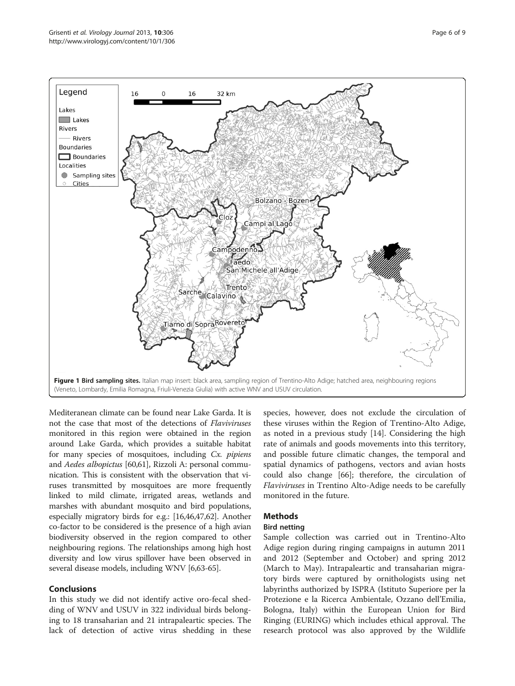<span id="page-5-0"></span>

Mediteranean climate can be found near Lake Garda. It is not the case that most of the detections of Flaviviruses monitored in this region were obtained in the region around Lake Garda, which provides a suitable habitat for many species of mosquitoes, including Cx. *pipiens* and Aedes albopictus [[60,61](#page-8-0)], Rizzoli A: personal communication. This is consistent with the observation that viruses transmitted by mosquitoes are more frequently linked to mild climate, irrigated areas, wetlands and marshes with abundant mosquito and bird populations, especially migratory birds for e.g.: [\[16,46,47](#page-7-0)[,62\]](#page-8-0). Another co-factor to be considered is the presence of a high avian biodiversity observed in the region compared to other neighbouring regions. The relationships among high host diversity and low virus spillover have been observed in several disease models, including WNV [[6](#page-6-0)[,63](#page-8-0)-[65](#page-8-0)].

## Conclusions

In this study we did not identify active oro-fecal shedding of WNV and USUV in 322 individual birds belonging to 18 transaharian and 21 intrapaleartic species. The lack of detection of active virus shedding in these species, however, does not exclude the circulation of these viruses within the Region of Trentino-Alto Adige, as noted in a previous study [[14](#page-7-0)]. Considering the high rate of animals and goods movements into this territory, and possible future climatic changes, the temporal and spatial dynamics of pathogens, vectors and avian hosts could also change [\[66\]](#page-8-0); therefore, the circulation of Flaviviruses in Trentino Alto-Adige needs to be carefully monitored in the future.

# Methods

## Bird netting

Sample collection was carried out in Trentino-Alto Adige region during ringing campaigns in autumn 2011 and 2012 (September and October) and spring 2012 (March to May). Intrapaleartic and transaharian migratory birds were captured by ornithologists using net labyrinths authorized by ISPRA (Istituto Superiore per la Protezione e la Ricerca Ambientale, Ozzano dell'Emilia, Bologna, Italy) within the European Union for Bird Ringing (EURING) which includes ethical approval. The research protocol was also approved by the Wildlife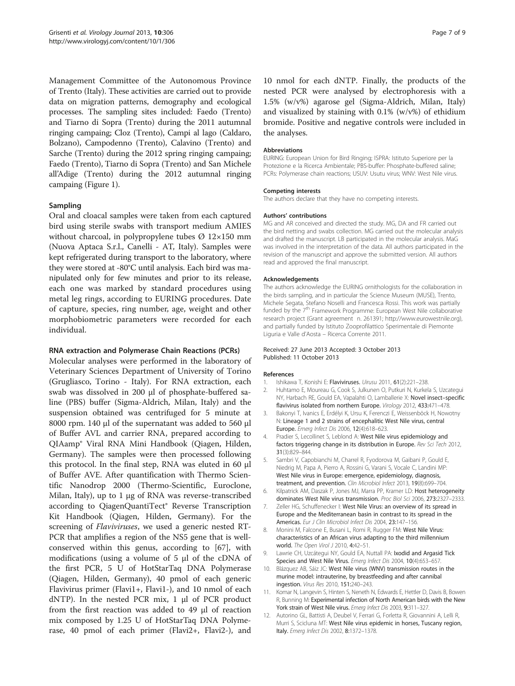<span id="page-6-0"></span>Management Committee of the Autonomous Province of Trento (Italy). These activities are carried out to provide data on migration patterns, demography and ecological processes. The sampling sites included: Faedo (Trento) and Tiarno di Sopra (Trento) during the 2011 autumnal ringing campaing; Cloz (Trento), Campi al lago (Caldaro, Bolzano), Campodenno (Trento), Calavino (Trento) and Sarche (Trento) during the 2012 spring ringing campaing; Faedo (Trento), Tiarno di Sopra (Trento) and San Michele all'Adige (Trento) during the 2012 autumnal ringing campaing (Figure [1\)](#page-5-0).

## Sampling

Oral and cloacal samples were taken from each captured bird using sterile swabs with transport medium AMIES without charcoal, in polypropylene tubes  $\varnothing$  12×150 mm (Nuova Aptaca S.r.l., Canelli - AT, Italy). Samples were kept refrigerated during transport to the laboratory, where they were stored at -80°C until analysis. Each bird was manipulated only for few minutes and prior to its release, each one was marked by standard procedures using metal leg rings, according to EURING procedures. Date of capture, species, ring number, age, weight and other morphobiometric parameters were recorded for each individual.

### RNA extraction and Polymerase Chain Reactions (PCRs)

Molecular analyses were performed in the laboratory of Veterinary Sciences Department of University of Torino (Grugliasco, Torino - Italy). For RNA extraction, each swab was dissolved in 200 μl of phosphate-buffered saline (PBS) buffer (Sigma-Aldrich, Milan, Italy) and the suspension obtained was centrifuged for 5 minute at 8000 rpm. 140 μl of the supernatant was added to 560 μl of Buffer AVL and carrier RNA, prepared according to QIAamp® Viral RNA Mini Handbook (Qiagen, Hilden, Germany). The samples were then processed following this protocol. In the final step, RNA was eluted in 60 μl of Buffer AVE. After quantification with Thermo Scientific Nanodrop 2000 (Thermo-Scientific, Euroclone, Milan, Italy), up to 1 μg of RNA was reverse-transcribed according to QiagenQuantiTect® Reverse Transcription Kit Handbook (Qiagen, Hilden, Germany). For the screening of Flaviviruses, we used a generic nested RT-PCR that amplifies a region of the NS5 gene that is wellconserved within this genus, according to [[67](#page-8-0)], with modifications (using a volume of 5 μl of the cDNA of the first PCR, 5 U of HotStarTaq DNA Polymerase (Qiagen, Hilden, Germany), 40 pmol of each generic Flavivirus primer (Flavi1+, Flavi1-), and 10 nmol of each dNTP). In the nested PCR mix, 1 μl of PCR product from the first reaction was added to 49 μl of reaction mix composed by 1.25 U of HotStarTaq DNA Polymerase, 40 pmol of each primer (Flavi2+, Flavi2-), and

10 nmol for each dNTP. Finally, the products of the nested PCR were analysed by electrophoresis with a 1.5% (w/v%) agarose gel (Sigma-Aldrich, Milan, Italy) and visualized by staining with 0.1% (w/v%) of ethidium bromide. Positive and negative controls were included in the analyses.

#### Abbreviations

EURING: European Union for Bird Ringing; ISPRA: Istituto Superiore per la Protezione e la Ricerca Ambientale; PBS-buffer: Phosphate-buffered saline; PCRs: Polymerase chain reactions; USUV: Usutu virus; WNV: West Nile virus.

#### Competing interests

The authors declare that they have no competing interests.

#### Authors' contributions

MG and AR conceived and directed the study. MG, DA and FR carried out the bird netting and swabs collection. MG carried out the molecular analysis and drafted the manuscript. LB participated in the molecular analysis. MaG was involved in the interpretation of the data. All authors participated in the revision of the manuscript and approve the submitted version. All authors read and approved the final manuscript.

#### Acknowledgements

The authors acknowledge the EURING ornithologists for the collaboration in the birds sampling, and in particular the Science Museum (MUSE), Trento, Michele Segata, Stefano Noselli and Francesca Rossi. This work was partially funded by the 7<sup>th</sup> Framework Programme: European West Nile collaborative research project (Grant agreement n. 261391; [http://www.eurowestnile.org\)](http://www.eurowestnile.org), and partially funded by Istituto Zooprofilattico Sperimentale di Piemonte Liguria e Valle d'Aosta – Ricerca Corrente 2011.

#### Received: 27 June 2013 Accepted: 3 October 2013 Published: 11 October 2013

#### References

- 1. Ishikawa T, Konishi E: Flaviviruses. Uirusu 2011, 61(2):221–238.
- 2. Huhtamo E, Moureau G, Cook S, Julkunen O, Putkuri N, Kurkela S, Uzcategui NY, Harbach RE, Gould EA, Vapalahti O, Lamballerie X: Novel insect–specific flavivirus isolated from northern Europe. Virology 2012, 433:471–478.
- 3. Bakonyi T, Ivanics E, Erdélyi K, Ursu K, Ferenczi E, Weissenböck H, Nowotny N: Lineage 1 and 2 strains of encephalitic West Nile virus, central Europe. Emerg Infect Dis 2006, 12(4):618–623.
- 4. Pradier S, Lecollinet S, Leblond A: West Nile virus epidemiology and factors triggering change in its distribution in Europe. Rev Sci Tech 2012, 31(3):829–844.
- 5. Sambri V, Capobianchi M, Charrel R, Fyodorova M, Gaibani P, Gould E, Niedrig M, Papa A, Pierro A, Rossini G, Varani S, Vocale C, Landini MP: West Nile virus in Europe: emergence, epidemiology, diagnosis, treatment, and prevention. Clin Microbiol Infect 2013, 19(8):699–704.
- 6. Kilpatrick AM, Daszak P, Jones MJ, Marra PP, Kramer LD: Host heterogeneity dominates West Nile virus transmission. Proc Biol Sci 2006, 273:2327–2333.
- 7. Zeller HG, Schuffenecker I: West Nile Virus: an overview of its spread in Europe and the Mediterranean basin in contrast to its spread in the Americas. Eur J Clin Microbiol Infect Dis 2004, 23:147–156.
- 8. Monini M, Falcone E, Busani L, Romi R, Rugger FM: West Nile Virus: characteristics of an African virus adapting to the third millennium world. The Open Virol J 2010, 4:42–51.
- 9. Lawrie CH, Uzcátegui NY, Gould EA, Nuttall PA: Ixodid and Argasid Tick Species and West Nile Virus. Emerg Infect Dis 2004, 10(4):653–657.
- 10. Blázquez AB, Sáiz JC: West Nile virus (WNV) transmission routes in the murine model: intrauterine, by breastfeeding and after cannibal ingestion. Virus Res 2010, 151:240–243.
- 11. Komar N, Langevin S, Hinten S, Neneth N, Edwards E, Hettler D, Davis B, Bowen R, Bunning M: Experimental infection of North American birds with the New York strain of West Nile virus. Emerg Infect Dis 2003, 9:311–327.
- 12. Autorino GL, Battisti A, Deubel V, Ferrari G, Forletta R, Giovannini A, Lelli R, Murri S, Scicluna MT: West Nile virus epidemic in horses, Tuscany region, Italy. Emerg Infect Dis 2002, 8:1372–1378.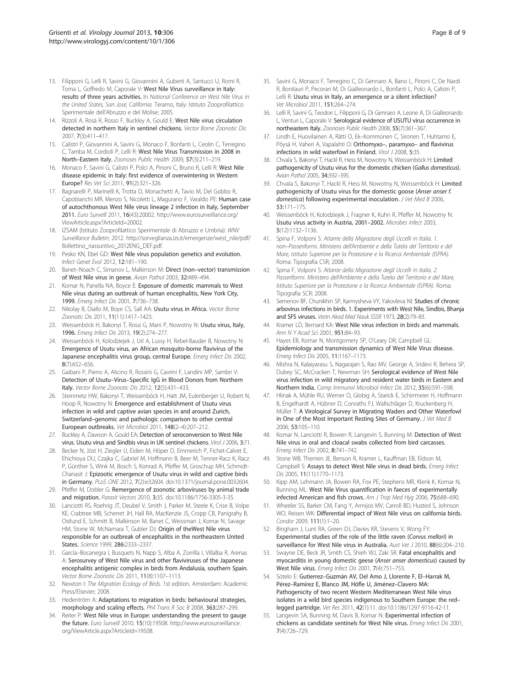- <span id="page-7-0"></span>13. Filipponi G, Lelli R, Savini G, Giovannini A, Guberti A, Santucci U, Romi R, Toma L, Goffredo M, Caporale V: West Nile Virus surveillance in Italy: results of three years activities. In National Conference on West Nile Virus in the United States, San Jose, California. Teramo, Italy: Istituto Zooprofilattico Sperimentale dell'Abruzzo e del Molise; 2005.
- 14. Rizzoli A, Rosà R, Rosso F, Buckley A, Gould E: West Nile virus circulation detected in northern Italy in sentinel chickens. Vector Borne Zoonotic Dis 2007, 7(3):411–417.
- 15. Calistri P, Giovannini A, Savini G, Monaco F, Bonfanti L, Ceolin C, Terregino C, Tamba M, Cordioli P, Lelli R: West Nile Virus Transmission in 2008 in North–Eastern Italy. Zoonoses Public Health 2009, 57(3):211–219.
- 16. Monaco F, Savini G, Calistri P, Polci A, Pinoni C, Bruno R, Lelli R: West Nile disease epidemic in Italy: first evidence of overwintering in Western Europe? Res Vet Sci 2011, 91(2):321–326.
- 17. Bagnarelli P, Marinelli K, Trotta D, Monachetti A, Tavio M, Del Gobbo R, Capobianchi MR, Menzo S, Nicoletti L, Magurano F, Varaldo PE: Human case of autochthonous West Nile virus lineage 2 infection in Italy, September 2011. Euro Surveill 2011, 16(43):20002. [http://www.eurosurveillance.org/](http://www.eurosurveillance.org/ViewArticle.aspx?ArticleId=20002) [ViewArticle.aspx?ArticleId=20002](http://www.eurosurveillance.org/ViewArticle.aspx?ArticleId=20002).
- 18. IZSAM (Istituto Zooprofilattico Sperimentale di Abruzzo e Umbria): WNV Surveillance Bulletin; 2012. [http://sorveglianza.izs.it/emergenze/west\\_nile/pdf/](http://sorveglianza.izs.it/emergenze/west_nile/pdf/Bollettino_riassuntivo_2012ENG_DEF.pdf) [Bollettino\\_riassuntivo\\_2012ENG\\_DEF.pdf](http://sorveglianza.izs.it/emergenze/west_nile/pdf/Bollettino_riassuntivo_2012ENG_DEF.pdf).
- 19. Pesko KN, Ebel GD: West Nile virus population genetics and evolution. Infect Genet Evol 2012, 12:181–190.
- 20. Banet–Noach C, Simanov L, Malkinson M: Direct (non–vector) transmission of West Nile virus in geese. Avian Pathol 2003, 32:489–494.
- 21. Komar N, Panella NA, Boyce E: Exposure of domestic mammals to West Nile virus during an outbreak of human encephalitis, New York City, 1999. Emerg Infect Dis 2001, 7:736-738.
- 22. Nikolay B, Diallo M, Boye CS, Sall AA: Usutu virus in Africa. Vector Borne Zoonotic Dis 2011, 11(11):1417–1423.
- 23. Weissenböck H, Bakonyi T, Rossi G, Mani P, Nowotny N: Usutu virus, Italy, 1996. Emerg Infect Dis 2013, 19(2):274–277.
- 24. Weissenböck H, Kolodziejek J, Url A, Lussy H, Rebel-Bauder B, Nowotny N: Emergence of Usutu virus, an African mosquito-borne flavivirus of the Japanese encephalitis virus group, central Europe. Emerg Infect Dis 2002, 8(7):652–656.
- 25. Gaibani P, Pierro A, Alicino R, Rossini G, Cavrini F, Landini MP, Sambri V: Detection of Usutu–Virus–Specific IgG in Blood Donors from Northern Italy. Vector Borne Zoonotic Dis 2012, 12(5):431–433.
- 26. Steinmetz HW, Bakonyi T, Weissenböck H, Hatt JM, Eulenberger U, Robert N, Hoop R, Nowotny N: Emergence and establishment of Usutu virus infection in wild and captive avian species in and around Zurich, Switzerland–genomic and pathologic comparison to other central European outbreaks. Vet Microbiol 2011, 148(2–4):207–212.
- 27. Buckley A, Dawson A, Gould EA: Detection of seroconversion to West Nile virus. Usutu virus and Sindbis virus in UK sentinel chickens. Virol J 2006, 3:71.
- 28. Becker N, Jöst H, Ziegler U, Eiden M, Höper D, Emmerich P, Fichet-Calvet E, Ehichioya DU, Czajka C, Gabriel M, Hoffmann B, Beer M, Tenner-Racz K, Racz P, Günther S, Wink M, Bosch S, Konrad A, Pfeffer M, Groschup MH, Schmidt-Chanasit J: Epizootic emergence of Usutu virus in wild and captive birds in Germany. PLoS ONE 2012, 7(2):e32604. doi:10.1371/journal.pone.0032604.
- 29. Pfeffer M, Dobler G: Remergence of zoonotic arboviruses by animal trade and migration. Parasit Vectors 2010, 3:35. doi:10.1186/1756-3305-3-35.
- 30. Lanciotti RS, Roehrig JT, Deubel V, Smith J, Parker M, Steele K, Crise B, Volpe KE, Crabtree MB, Scherret JH, Hall RA, MacKenzie JS, Cropp CB, Panigrahy B, Ostlund E, Schmitt B, Malkinson M, Banet C, Weissman J, Komar N, Savage HM, Stone W, McNamara T, Gubler DJ: Origin of theWest Nile virus responsible for an outbreak of encephalitis in the northeastern United States. Science 1999, 286:2333-2337.
- 31. García–Bocanegra I, Busquets N, Napp S, Alba A, Zorrilla I, Villalba R, Arenas A: Serosurvey of West Nile virus and other flaviviruses of the Japanese encephalitis antigenic complex in birds from Andalusia, southern Spain. Vector Borne Zoonotic Dis 2011, 11(8):1107–1113.
- 32. Newton I: The Migration Ecology of Birds. 1st edition. Amsterdam: Academic Press/Elsevier; 2008.
- 33. Hedentröm A: Adaptations to migration in birds: behavioural strategies, morphology and scaling effects. Phil Trans R Soc B 2008, 363:287-299.
- 34. Reiter P: West Nile virus in Europe: understanding the present to gauge the future. Euro Surveill 2010, 15(10):19508. [http://www.eurosurveillance.](http://www.eurosurveillance.org/ViewArticle.aspx?ArticleId=19508) [org/ViewArticle.aspx?ArticleId=19508](http://www.eurosurveillance.org/ViewArticle.aspx?ArticleId=19508).
- 35. Savini G, Monaco F, Terregino C, Di Gennaro A, Bano L, Pinoni C, De Nardi R, Bonilauri P, Pecorari M, Di Gialleonardo L, Bonfanti L, Polci A, Calistri P, Lelli R: Usutu virus in Italy, an emergence or a silent infection? Vet Microbiol 2011, 151:264–274.
- 36. Lelli R, Savini G, Teodori L, Filipponi G, Di Gennaro A, Leone A, Di Gialleonardo L, Venturi L, Caporale V: Serological evidence of USUTU virus occurrence in northeastern Italy. Zoonoses Public Health 2008, 55(7):361–367.
- 37. Lindh E, Huovilainen A, Rätti O, Ek–Kommonen C, Sironen T, Huhtamo E, Pöysä H, Vaheri A, Vapalahti O: Orthomyxo–, paramyxo– and flavivirus infections in wild waterfowl in Finland. Virol J 2008, 5:35.
- 38. Chvala S, Bakonyi T, Hackl R, Hess M, Nowotny N, Weissenböck H: Limited pathogenicity of Usutu virus for the domestic chicken (Gallus domesticus). Avian Pathol 2005, 34:392-395.
- 39. Chvala S, Bakonyi T, Hackl R, Hess M, Nowotny N, Weissenböck H: Limited pathogenicity of Usutu virus for the domestic goose (Anser anser f. domestica) following experimental inoculation. J Vet Med B 2006, 53:171–175.
- 40. Weissenböck H, Kolodziejek J, Fragner K, Kuhn R, Pfeffer M, Nowotny N: Usutu virus activity in Austria, 2001–2002. Microbes Infect 2003, 5(12):1132–1136.
- 41. Spina F, Volponi S: Atlante della Migrazione degli Uccelli in Italia. 1. non–Passeriformi. Ministero dell'Ambiente e della Tutela del Territorio e del Mare, Istituto Superiore per la Protezione e la Ricerca Ambientale (ISPRA). Roma: Tipografia CSR; 2008.
- 42. Spina F, Volponi S: Atlante della Migrazione degli Uccelli in Italia. 2. Passeriformi. Ministero dell'Ambiente e della Tutela del Territorio e del Mare, Istituto Superiore per la Protezione e la Ricerca Ambientale (ISPRA). Roma: Tipografia SCR; 2008.
- 43. Semenov BF, Chunikhin SP, Karmysheva VY, Yakovleva NI: Studies of chronic arbovirus infections in birds. 1. Experiments with West Nile, Sindbis, Bhanja and SFS viruses. Vestn Akad Med Nauk SSSR 1973, 28(2):79–83.
- 44. Kramer LD, Bernard KA: West Nile virus infection in birds and mammals. Ann N Y Acad Sci 2001, 951:84–93.
- 45. Hayes EB, Komar N, Montgomery SP, O'Leary DR, Campbell GL: Epidemiology and transmission dynamics of West Nile Virus disease. Emerg Infect Dis 2005, 11:1167–1173.
- 46. Mishra N, Kalaiyarasu S, Nagarajan S, Rao MV, George A, Sridevi R, Behera SP, Dubey SC, McCracken T, Newman SH: Serological evidence of West Nile virus infection in wild migratory and resident water birds in Eastern and Northern India. Comp Immunol Microbiol Infect Dis 2012, 35(6):591–598.
- 47. Hlinak A, Mühle RU, Werner O, Globig A, Starick E, Schirrmeier H, Hoffmann B, Engelhardt A, Hübner D, Conraths FJ, Wallschläger D, Kruckenberg H, Müller T: A Virological Survey in Migrating Waders and Other Waterfowl in One of the Most Important Resting Sites of Germany. J Vet Med B 2006, 53:105–110.
- 48. Komar N, Lanciotti R, Bowen R, Langevin S, Bunning M: Detection of West Nile virus in oral and cloacal swabs collected from bird carcasses. Emerg Infect Dis 2002, 8:741–742.
- 49. Stone WB, Therrien JE, Benson R, Kramer L, Kauffman EB, Eldson M, Campbell S: Assays to detect West Nile virus in dead birds. Emerg Infect Dis 2005, 11(11):1770–1173.
- 50. Kipp AM, Lehmann JA, Bowen RA, Fox PE, Stephens MR, Klenk K, Komar N, Bunning ML: West Nile Virus quantification in faeces of experimentally infected American and fish crows. Am J Trop Med Hyg 2006, 75:688-690.
- 51. Wheeler SS, Barker CM, Fang Y, Armijos MV, Carroll BD, Husted S, Johnson WO, Reisen WK: Differential impact of West Nile virus on california birds. Condor 2009, 111(1):1–20.
- 52. Bingham J, Lunt RA, Green DJ, Davies KR, Stevens V, Wong FY: Experimental studies of the role of the little raven (Corvus mellori) in surveillance for West Nile virus in Australia. Aust Vet 1 2010, 88(6):204-210.
- Swayne DE, Beck JR, Smith CS, Shieh WJ, Zaki SR: Fatal encephalitis and myocarditis in young domestic geese (Anser anser domesticus) caused by West Nile virus. Emerg Infect Dis 2001, 7(4):751–753.
- 54. Sotelo E: Gutierrez–Guzmán AV, Del Amo J, Llorente F, El–Harrak M, Pérez–Ramírez E, Blanco JM, Höfle U, Jiménez–Clavero MA: Pathogenicity of two recent Western Mediterranean West Nile virus isolates in a wild bird species indigenous to Southern Europe: the red– legged partridge. Vet Res 2011, 42(1):11. doi:10.1186/1297-9716-42-11.
- 55. Langevin SA, Bunning M, Davis B, Komar N: Experimental infection of chickens as candidate sentinels for West Nile virus. Emerg Infect Dis 2001, 7(4):726–729.